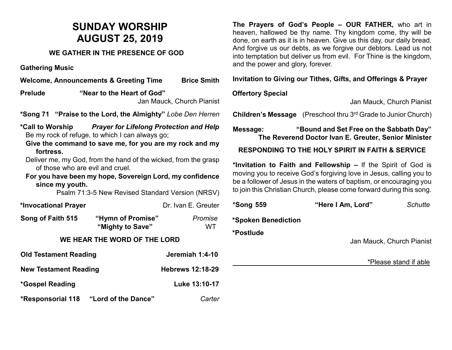# **SUNDAY WORSHIP AUGUST 25, 2019**

#### **WE GATHER IN THE PRESENCE OF GOD**

**Gathering Music**

**Welcome, Announcements & Greeting Time Brice Smith Prelude "Near to the Heart of God"**  Jan Mauck, Church Pianist **\*Song 71 "Praise to the Lord, the Almighty"** *Lobe Den Herren* **\*Call to Worship** *Prayer for Lifelong Protection and Help* Be my rock of refuge, to which I can always go; **Give the command to save me, for you are my rock and my fortress.** Deliver me, my God, from the hand of the wicked, from the grasp of those who are evil and cruel. **For you have been my hope, Sovereign Lord, my confidence** 

**since my youth.** 

Psalm 71:3-5 New Revised Standard Version (NRSV)

\*Invocational Prayer **business** Dr. Ivan E. Greuter

| Song of Faith 515 | "Hymn of Promise" | Promise |
|-------------------|-------------------|---------|
|                   | "Mighty to Save"  | WT.     |

### **WE HEAR THE WORD OF THE LORD**

| <b>Old Testament Reading</b>                    | Jeremiah 1:4-10         |
|-------------------------------------------------|-------------------------|
| <b>New Testament Reading</b>                    | <b>Hebrews 12:18-29</b> |
| *Gospel Reading                                 | Luke 13:10-17           |
| <b>*Responsorial 118</b><br>"Lord of the Dance" | Carter                  |

**The Prayers of God's People – OUR FATHER,** who art in heaven, hallowed be thy name. Thy kingdom come, thy will be done, on earth as it is in heaven. Give us this day, our daily bread. And forgive us our debts, as we forgive our debtors. Lead us not into temptation but deliver us from evil. For Thine is the kingdom, and the power and glory, forever.

**Invitation to Giving our Tithes, Gifts, and Offerings & Prayer**

# **Offertory Special**

Jan Mauck, Church Pianist

**Children's Message** (Preschool thru 3rd Grade to Junior Church)

**Message: "Bound and Set Free on the Sabbath Day" The Reverend Doctor Ivan E. Greuter, Senior Minister**

# **RESPONDING TO THE HOLY SPIRIT IN FAITH & SERVICE**

**\*Invitation to Faith and Fellowship –** If the Spirit of God is moving you to receive God's forgiving love in Jesus, calling you to be a follower of Jesus in the waters of baptism, or encouraging you to join this Christian Church, please come forward during this song.

| *Song 559           | "Here I Am, Lord"         | <b>Schutte</b>        |
|---------------------|---------------------------|-----------------------|
| *Spoken Benediction |                           |                       |
| *Postlude           | Jan Mauck, Church Pianist |                       |
|                     |                           | *Please stand if able |
|                     |                           |                       |